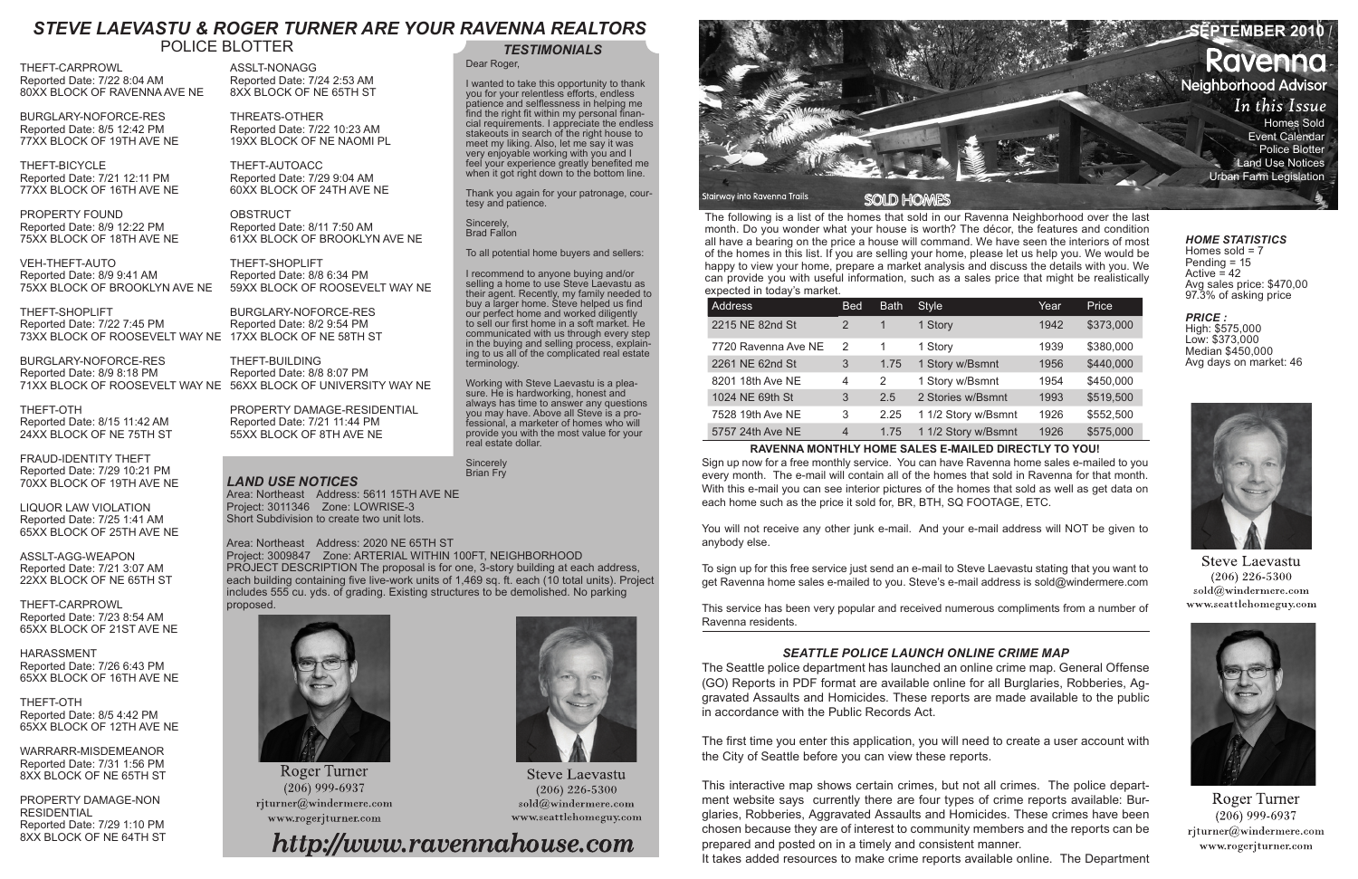The following is a list of the homes that sold in our Ravenna Neighborhood over the last month. Do you wonder what your house is worth? The décor, the features and condition all have a bearing on the price a house will command. We have seen the interiors of most of the homes in this list. If you are selling your home, please let us help you. We would be happy to view your home, prepare a market analysis and discuss the details with you. We can provide you with useful information, such as a sales price that might be realistically expected in today's market.

| <b>Address</b>      | <b>Bed</b>     | <b>Bath</b>  | <b>Style</b>        | Year | Price     |
|---------------------|----------------|--------------|---------------------|------|-----------|
| 2215 NE 82nd St     | 2              | 1            | 1 Story             | 1942 | \$373,000 |
| 7720 Ravenna Ave NE | 2              | 1            | 1 Story             | 1939 | \$380,000 |
| 2261 NE 62nd St     | 3              | 1.75         | 1 Story w/Bsmnt     | 1956 | \$440,000 |
| 8201 18th Ave NE    | 4              | $\mathbf{2}$ | 1 Story w/Bsmnt     | 1954 | \$450,000 |
| 1024 NE 69th St     | 3              | 2.5          | 2 Stories w/Bsmnt   | 1993 | \$519,500 |
| 7528 19th Ave NE    | 3              | 2.25         | 1 1/2 Story w/Bsmnt | 1926 | \$552,500 |
| 5757 24th Ave NE    | $\overline{4}$ | 1.75         | 1 1/2 Story w/Bsmnt | 1926 | \$575,000 |

# **RAVENNA MONTHLY HOME SALES E-MAILED DIRECTLY TO YOU!**

Sign up now for a free monthly service. You can have Ravenna home sales e-mailed to you every month. The e-mail will contain all of the homes that sold in Ravenna for that month. With this e-mail you can see interior pictures of the homes that sold as well as get data on each home such as the price it sold for, BR, BTH, SQ FOOTAGE, ETC.

You will not receive any other junk e-mail. And your e-mail address will NOT be given to anybody else.

**Sincerely** Brian Fry



To sign up for this free service just send an e-mail to Steve Laevastu stating that you want to get Ravenna home sales e-mailed to you. Steve's e-mail address is sold@windermere.com

Homes sold  $= 7$ Pending = 15 Active  $\leq 42$ Avg sales price: \$470,00 97.3% of asking price

This service has been very popular and received numerous compliments from a number of Ravenna residents.

# *TESTIMONIALS*

Dear Roger,

I wanted to take this opportunity to thank you for your relentless efforts, endless patience and selflessness in helping me find the right fit within my personal financial requirements. I appreciate the endless stakeouts in search of the right house to meet my liking. Also, let me say it was very enjoyable working with you and I feel your experience greatly benefited me when it got right down to the bottom line.

Thank you again for your patronage, courtesy and patience.

Sincerely, Brad Fallon

To all potential home buyers and sellers:

**OBSTRUCT** Reported Date: 8/11 7:50 AM 61XX BLOCK OF BROOKLYN AVE NE

> I recommend to anyone buying and/or selling a home to use Steve Laevastu as their agent. Recently, my family needed to buy a larger home. Steve helped us find our perfect home and worked diligently to sell our first home in a soft market. He communicated with us through every step in the buying and selling process, explaining to us all of the complicated real estate terminology.

Working with Steve Laevastu is a pleasure. He is hardworking, honest and always has time to answer any questions you may have. Above all Steve is a professional, a marketer of homes who will provide you with the most value for your real estate dollar.

# *HOME STATISTICS*

# *PRICE :*

High: \$575,000 Low: \$373,000 Median \$450,000 Avg days on market: 46



**Steve Laevastu**  $(206)$  226-5300 sold@windermere.com www.seattlehomeguy.com



Roger Turner  $(206)$  999-6937 rjturner@windermere.com www.rogerjturner.com

THEFT-CARPROWL Reported Date: 7/22 8:04 AM 80XX BLOCK OF RAVENNA AVE NE

BURGLARY-NOFORCE-RES Reported Date: 8/5 12:42 PM 77XX BLOCK OF 19TH AVE NE

THEFT-BICYCLE Reported Date: 7/21 12:11 PM 77XX BLOCK OF 16TH AVE NE

PROPERTY FOUND Reported Date: 8/9 12:22 PM 75XX BLOCK OF 18TH AVE NE

VEH-THEFT-AUTO Reported Date: 8/9 9:41 AM 75XX BLOCK OF BROOKLYN AVE NE

THEFT-OTH Reported Date: 8/15 11:42 AM 24XX BLOCK OF NE 75TH ST

FRAUD-IDENTITY THEFT Reported Date: 7/29 10:21 PM 70XX BLOCK OF 19TH AVE NE

LIQUOR LAW VIOLATION Reported Date: 7/25 1:41 AM 65XX BLOCK OF 25TH AVE NE

ASSLT-AGG-WEAPON Reported Date: 7/21 3:07 AM 22XX BLOCK OF NE 65TH ST

THEFT-CARPROWL Reported Date: 7/23 8:54 AM 65XX BLOCK OF 21ST AVE NE

HARASSMENT Reported Date: 7/26 6:43 PM 65XX BLOCK OF 16TH AVE NE

THEFT-OTH Reported Date: 8/5 4:42 PM 65XX BLOCK OF 12TH AVE NE

THEFT-SHOPLIFT Reported Date: 7/22 7:45 PM 73XX BLOCK OF ROOSEVELT WAY NE 17XX BLOCK OF NE 58TH ST

WARRARR-MISDEMEANOR Reported Date: 7/31 1:56 PM 8XX BLOCK OF NE 65TH ST

BURGLARY-NOFORCE-RES Reported Date: 8/9 8:18 PM 71XX BLOCK OF ROOSEVELT WAY NE 56XX BLOCK OF UNIVERSITY WAY NE

PROPERTY DAMAGE-NON **RESIDENTIAL** Reported Date: 7/29 1:10 PM 8XX BLOCK OF NE 64TH ST

ASSLT-NONAGG Reported Date: 7/24 2:53 AM 8XX BLOCK OF NE 65TH ST

THREATS-OTHER Reported Date: 7/22 10:23 AM 19XX BLOCK OF NE NAOMI PL

THEFT-AUTOACC Reported Date: 7/29 9:04 AM 60XX BLOCK OF 24TH AVE NE

THEFT-SHOPLIFT Reported Date: 8/8 6:34 PM 59XX BLOCK OF ROOSEVELT WAY NE

BURGLARY-NOFORCE-RES Reported Date: 8/2 9:54 PM

> THEFT-BUILDING Reported Date: 8/8 8:07 PM

PROPERTY DAMAGE-RESIDENTIAL Reported Date: 7/21 11:44 PM 55XX BLOCK OF 8TH AVE NE

# POLICE BLOTTER

# *LAND USE NOTICES*

Area: Northeast Address: 5611 15TH AVE NE Project: 3011346 Zone: LOWRISE-3 Short Subdivision to create two unit lots.

Area: Northeast Address: 2020 NE 65TH ST Project: 3009847 Zone: ARTERIAL WITHIN 100FT, NEIGHBORHOOD PROJECT DESCRIPTION The proposal is for one, 3-story building at each address, each building containing five live-work units of 1,469 sq. ft. each (10 total units). Project includes 555 cu. yds. of grading. Existing structures to be demolished. No parking proposed.



Roger Turner  $(206)$  999-6937 rjturner@windermere.com www.rogerjturner.com

# *SEATTLE POLICE LAUNCH ONLINE CRIME MAP*

The Seattle police department has launched an online crime map. General Offense (GO) Reports in PDF format are available online for all Burglaries, Robberies, Aggravated Assaults and Homicides. These reports are made available to the public in accordance with the Public Records Act.

The first time you enter this application, you will need to create a user account with the City of Seattle before you can view these reports.

This interactive map shows certain crimes, but not all crimes. The police department website says currently there are four types of crime reports available: Burglaries, Robberies, Aggravated Assaults and Homicides. These crimes have been chosen because they are of interest to community members and the reports can be prepared and posted on in a timely and consistent manner. It takes added resources to make crime reports available online. The Department



**Steve Laevastu**  $(206)$  226-5300 sold@windermere.com www.seattlehomeguy.com

http://www.ravennahouse.com